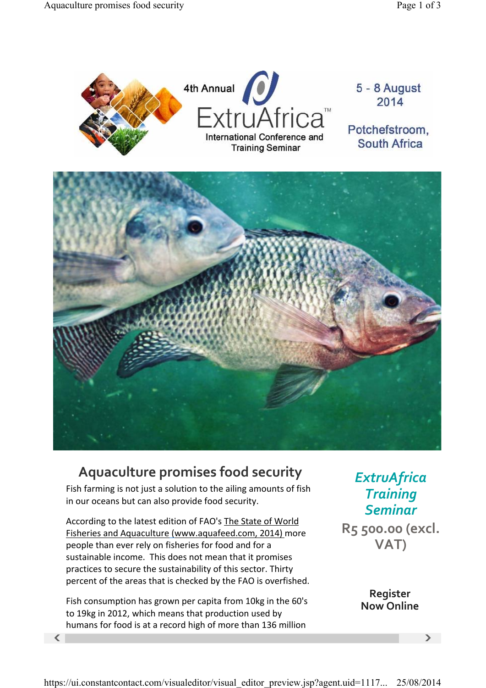

## **Aquaculture promises food security**

Fish farming is not just a solution to the ailing amounts of fish in our oceans but can also provide food security.

According to the latest edition of FAO's The State of World Fisheries and Aquaculture (www.aquafeed.com, 2014) more people than ever rely on fisheries for food and for a sustainable income. This does not mean that it promises practices to secure the sustainability of this sector. Thirty percent of the areas that is checked by the FAO is overfished.

 $\langle$  , and  $\rangle$  and  $\langle$  and  $\rangle$  and  $\rangle$  and  $\rangle$ Fish consumption has grown per capita from 10kg in the 60's to 19kg in 2012, which means that production used by humans for food is at a record high of more than 136 million

*ExtruAfrica Training Seminar* **R5 500.00 (excl. VAT)**

> **Register Now Online**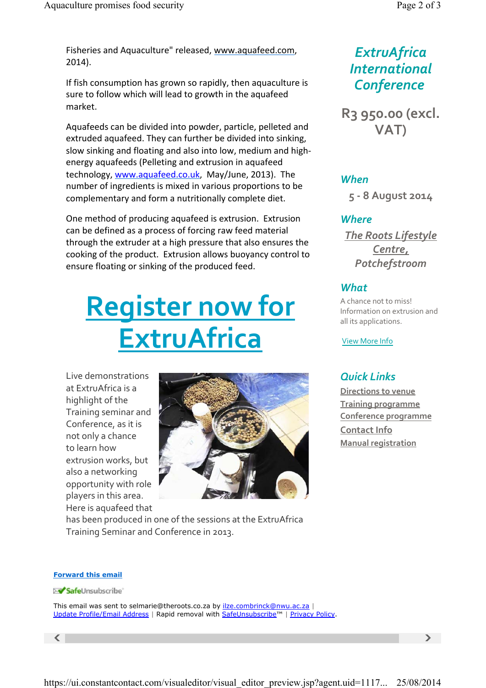Fisheries and Aquaculture" released, www.aquafeed.com, 2014).

If fish consumption has grown so rapidly, then aquaculture is sure to follow which will lead to growth in the aquafeed market.

Aquafeeds can be divided into powder, particle, pelleted and extruded aquafeed. They can further be divided into sinking, slow sinking and floating and also into low, medium and highenergy aquafeeds (Pelleting and extrusion in aquafeed technology, www.aquafeed.co.uk, May/June, 2013). The number of ingredients is mixed in various proportions to be complementary and form a nutritionally complete diet.

One method of producing aquafeed is extrusion. Extrusion can be defined as a process of forcing raw feed material through the extruder at a high pressure that also ensures the cooking of the product. Extrusion allows buoyancy control to ensure floating or sinking of the produced feed.

# **Register now for ExtruAfrica**

Live demonstrations at ExtruAfrica is a highlight of the Training seminar and Conference, as it is not only a chance to learn how extrusion works, but also a networking opportunity with role players in this area. Here is aquafeed that



has been produced in one of the sessions at the ExtruAfrica Training Seminar and Conference in 2013.

## *ExtruAfrica International Conference*

**R3 950.00 (excl. VAT)**

#### *When*

**5 8 August 2014**

#### *Where*

*The Roots Lifestyle Centre, Potchefstroom*

#### *What*

A chance not to miss! Information on extrusion and all its applications.

View More Info

### *Quick Links*

**Directions to venue Training programme Conference programme Contact Info Manual registration**

#### **Forward this email**

SafeUnsubscribe

This email was sent to selmarie@theroots.co.za by ilze.combrinck@nwu.ac.za | Update Profile/Email Address | Rapid removal with SafeUnsubscribe™ | Privacy Policy.

 $\langle$  , and  $\rangle$  and  $\langle$  and  $\rangle$  and  $\rangle$  and  $\rangle$